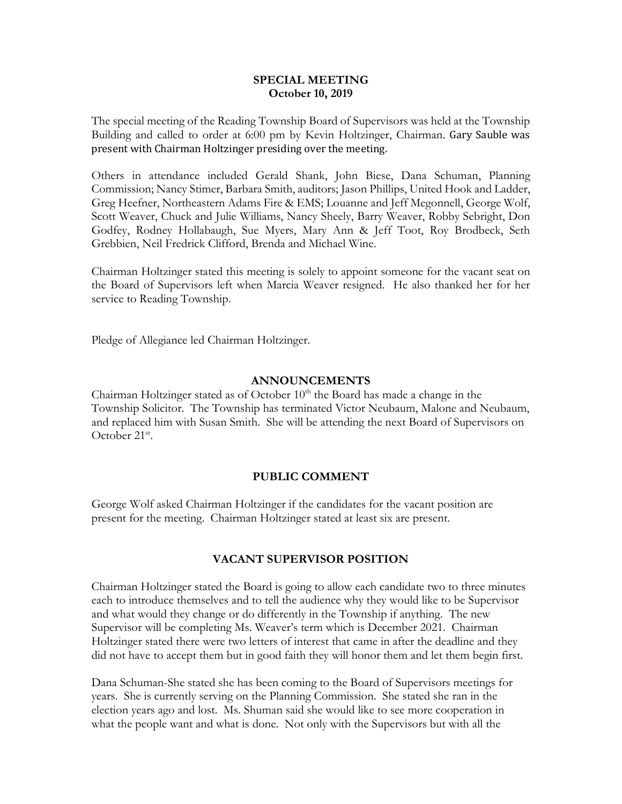#### **SPECIAL MEETING October 10, 2019**

The special meeting of the Reading Township Board of Supervisors was held at the Township Building and called to order at 6:00 pm by Kevin Holtzinger, Chairman. Gary Sauble was present with Chairman Holtzinger presiding over the meeting.

Others in attendance included Gerald Shank, John Biese, Dana Schuman, Planning Commission; Nancy Stimer, Barbara Smith, auditors; Jason Phillips, United Hook and Ladder, Greg Heefner, Northeastern Adams Fire & EMS; Louanne and Jeff Megonnell, George Wolf, Scott Weaver, Chuck and Julie Williams, Nancy Sheely, Barry Weaver, Robby Sebright, Don Godfey, Rodney Hollabaugh, Sue Myers, Mary Ann & Jeff Toot, Roy Brodbeck, Seth Grebbien, Neil Fredrick Clifford, Brenda and Michael Wine.

Chairman Holtzinger stated this meeting is solely to appoint someone for the vacant seat on the Board of Supervisors left when Marcia Weaver resigned. He also thanked her for her service to Reading Township.

Pledge of Allegiance led Chairman Holtzinger.

#### **ANNOUNCEMENTS**

Chairman Holtzinger stated as of October  $10<sup>th</sup>$  the Board has made a change in the Township Solicitor. The Township has terminated Victor Neubaum, Malone and Neubaum, and replaced him with Susan Smith. She will be attending the next Board of Supervisors on October 21<sup>st</sup>.

## **PUBLIC COMMENT**

George Wolf asked Chairman Holtzinger if the candidates for the vacant position are present for the meeting. Chairman Holtzinger stated at least six are present.

## **VACANT SUPERVISOR POSITION**

Chairman Holtzinger stated the Board is going to allow each candidate two to three minutes each to introduce themselves and to tell the audience why they would like to be Supervisor and what would they change or do differently in the Township if anything. The new Supervisor will be completing Ms. Weaver's term which is December 2021. Chairman Holtzinger stated there were two letters of interest that came in after the deadline and they did not have to accept them but in good faith they will honor them and let them begin first.

Dana Schuman-She stated she has been coming to the Board of Supervisors meetings for years. She is currently serving on the Planning Commission. She stated she ran in the election years ago and lost. Ms. Shuman said she would like to see more cooperation in what the people want and what is done. Not only with the Supervisors but with all the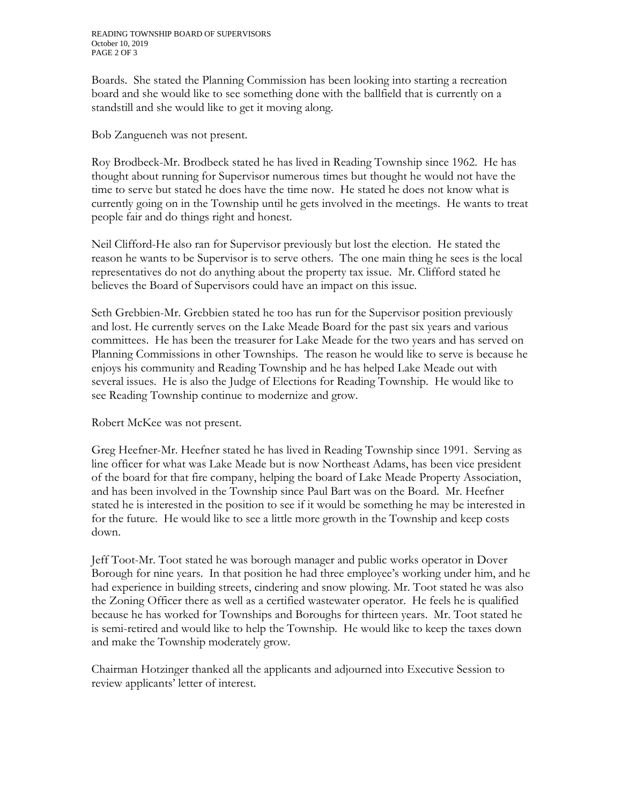Boards. She stated the Planning Commission has been looking into starting a recreation board and she would like to see something done with the ballfield that is currently on a standstill and she would like to get it moving along.

Bob Zangueneh was not present.

Roy Brodbeck-Mr. Brodbeck stated he has lived in Reading Township since 1962. He has thought about running for Supervisor numerous times but thought he would not have the time to serve but stated he does have the time now. He stated he does not know what is currently going on in the Township until he gets involved in the meetings. He wants to treat people fair and do things right and honest.

Neil Clifford-He also ran for Supervisor previously but lost the election. He stated the reason he wants to be Supervisor is to serve others. The one main thing he sees is the local representatives do not do anything about the property tax issue. Mr. Clifford stated he believes the Board of Supervisors could have an impact on this issue.

Seth Grebbien-Mr. Grebbien stated he too has run for the Supervisor position previously and lost. He currently serves on the Lake Meade Board for the past six years and various committees. He has been the treasurer for Lake Meade for the two years and has served on Planning Commissions in other Townships. The reason he would like to serve is because he enjoys his community and Reading Township and he has helped Lake Meade out with several issues. He is also the Judge of Elections for Reading Township. He would like to see Reading Township continue to modernize and grow.

Robert McKee was not present.

Greg Heefner-Mr. Heefner stated he has lived in Reading Township since 1991. Serving as line officer for what was Lake Meade but is now Northeast Adams, has been vice president of the board for that fire company, helping the board of Lake Meade Property Association, and has been involved in the Township since Paul Bart was on the Board. Mr. Heefner stated he is interested in the position to see if it would be something he may be interested in for the future. He would like to see a little more growth in the Township and keep costs down.

Jeff Toot-Mr. Toot stated he was borough manager and public works operator in Dover Borough for nine years. In that position he had three employee's working under him, and he had experience in building streets, cindering and snow plowing. Mr. Toot stated he was also the Zoning Officer there as well as a certified wastewater operator. He feels he is qualified because he has worked for Townships and Boroughs for thirteen years. Mr. Toot stated he is semi-retired and would like to help the Township. He would like to keep the taxes down and make the Township moderately grow.

Chairman Hotzinger thanked all the applicants and adjourned into Executive Session to review applicants' letter of interest.